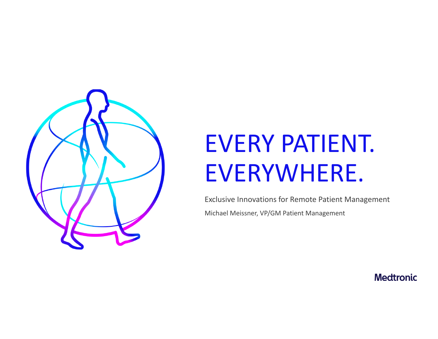

## EVERY PATIENT. EVERYWHERE.

Exclusive Innovations for Remote Patient Management Michael Meissner, VP/GM Patient Management

**Medtronic**